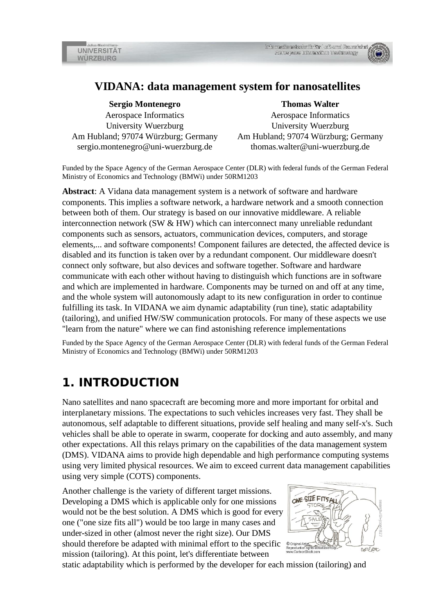

### **VIDANA: data management system for nanosatellites**

**Sergio Montenegro** Aerospace Informatics University Wuerzburg Am Hubland; 97074 Würzburg; Germany sergio.montenegro@uni-wuerzburg.de

**UNIVERSITÄT** 

**WÜRZBURG** 

**Thomas Walter** Aerospace Informatics

University Wuerzburg Am Hubland; 97074 Würzburg; Germany thomas.walter@uni-wuerzburg.de

Funded by the Space Agency of the German Aerospace Center (DLR) with federal funds of the German Federal Ministry of Economics and Technology (BMWi) under 50RM1203

**Abstract**: A Vidana data management system is a network of software and hardware components. This implies a software network, a hardware network and a smooth connection between both of them. Our strategy is based on our innovative middleware. A reliable interconnection network (SW & HW) which can interconnect many unreliable redundant components such as sensors, actuators, communication devices, computers, and storage elements,... and software components! Component failures are detected, the affected device is disabled and its function is taken over by a redundant component. Our middleware doesn't connect only software, but also devices and software together. Software and hardware communicate with each other without having to distinguish which functions are in software and which are implemented in hardware. Components may be turned on and off at any time, and the whole system will autonomously adapt to its new configuration in order to continue fulfilling its task. In VIDANA we aim dynamic adaptability (run tine), static adaptability (tailoring), and unified HW/SW communication protocols. For many of these aspects we use "learn from the nature" where we can find astonishing reference implementations

Funded by the Space Agency of the German Aerospace Center (DLR) with federal funds of the German Federal Ministry of Economics and Technology (BMWi) under 50RM1203

## **1. INTRODUCTION**

Nano satellites and nano spacecraft are becoming more and more important for orbital and interplanetary missions. The expectations to such vehicles increases very fast. They shall be autonomous, self adaptable to different situations, provide self healing and many self-x's. Such vehicles shall be able to operate in swarm, cooperate for docking and auto assembly, and many other expectations. All this relays primary on the capabilities of the data management system (DMS). VIDANA aims to provide high dependable and high performance computing systems using very limited physical resources. We aim to exceed current data management capabilities using very simple (COTS) components.

Another challenge is the variety of different target missions. Developing a DMS which is applicable only for one missions would not be the best solution. A DMS which is good for every one ("one size fits all") would be too large in many cases and under-sized in other (almost never the right size). Our DMS should therefore be adapted with minimal effort to the specific  $\frac{\text{Sone}(\text{N})}{\text{Reproduct}(\text{N})}$ mission (tailoring). At this point, let's differentiate between



static adaptability which is performed by the developer for each mission (tailoring) and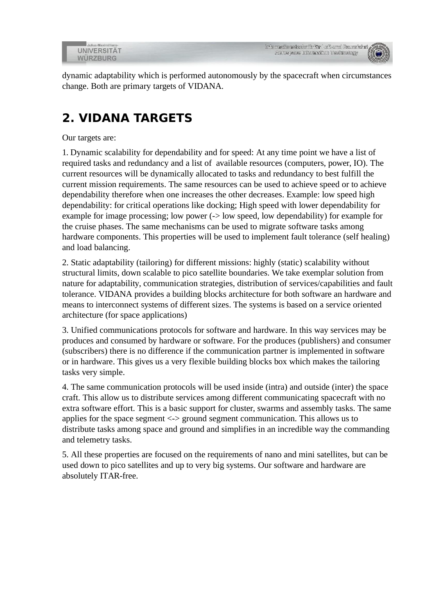| Julius-Maximillians- |  |
|----------------------|--|
| UNIVERSITAT          |  |
| <b>WURZBURG</b>      |  |



dynamic adaptability which is performed autonomously by the spacecraft when circumstances change. Both are primary targets of VIDANA.

# **2. VIDANA TARGETS**

#### Our targets are:

1. Dynamic scalability for dependability and for speed: At any time point we have a list of required tasks and redundancy and a list of available resources (computers, power, IO). The current resources will be dynamically allocated to tasks and redundancy to best fulfill the current mission requirements. The same resources can be used to achieve speed or to achieve dependability therefore when one increases the other decreases. Example: low speed high dependability: for critical operations like docking; High speed with lower dependability for example for image processing; low power (-> low speed, low dependability) for example for the cruise phases. The same mechanisms can be used to migrate software tasks among hardware components. This properties will be used to implement fault tolerance (self healing) and load balancing.

2. Static adaptability (tailoring) for different missions: highly (static) scalability without structural limits, down scalable to pico satellite boundaries. We take exemplar solution from nature for adaptability, communication strategies, distribution of services/capabilities and fault tolerance. VIDANA provides a building blocks architecture for both software an hardware and means to interconnect systems of different sizes. The systems is based on a service oriented architecture (for space applications)

3. Unified communications protocols for software and hardware. In this way services may be produces and consumed by hardware or software. For the produces (publishers) and consumer (subscribers) there is no difference if the communication partner is implemented in software or in hardware. This gives us a very flexible building blocks box which makes the tailoring tasks very simple.

4. The same communication protocols will be used inside (intra) and outside (inter) the space craft. This allow us to distribute services among different communicating spacecraft with no extra software effort. This is a basic support for cluster, swarms and assembly tasks. The same applies for the space segment <-> ground segment communication. This allows us to distribute tasks among space and ground and simplifies in an incredible way the commanding and telemetry tasks.

5. All these properties are focused on the requirements of nano and mini satellites, but can be used down to pico satellites and up to very big systems. Our software and hardware are absolutely ITAR-free.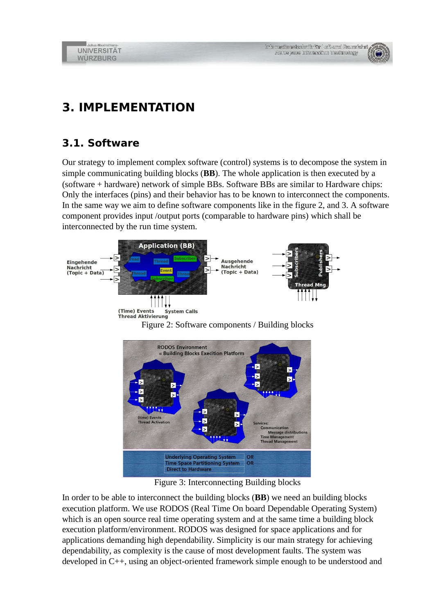

# **3. IMPLEMENTATION**

### **3.1. Software**

Our strategy to implement complex software (control) systems is to decompose the system in simple communicating building blocks (**BB**). The whole application is then executed by a (software + hardware) network of simple BBs. Software BBs are similar to Hardware chips: Only the interfaces (pins) and their behavior has to be known to interconnect the components. In the same way we aim to define software components like in the figure 2, and 3. A software component provides input /output ports (comparable to hardware pins) which shall be interconnected by the run time system.





Figure 3: Interconnecting Building blocks

In order to be able to interconnect the building blocks (**BB**) we need an building blocks execution platform. We use RODOS (Real Time On board Dependable Operating System) which is an open source real time operating system and at the same time a building block execution platform/environment. RODOS was designed for space applications and for applications demanding high dependability. Simplicity is our main strategy for achieving dependability, as complexity is the cause of most development faults. The system was developed in C++, using an object-oriented framework simple enough to be understood and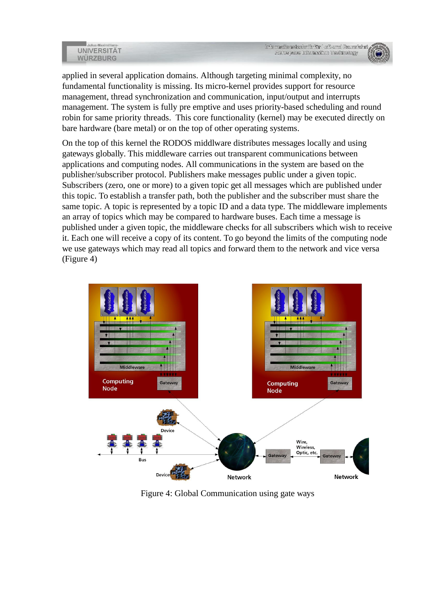

**UNIVERSITÄT WÜRZBURG** 

applied in several application domains. Although targeting minimal complexity, no fundamental functionality is missing. Its micro-kernel provides support for resource management, thread synchronization and communication, input/output and interrupts management. The system is fully pre emptive and uses priority-based scheduling and round robin for same priority threads. This core functionality (kernel) may be executed directly on bare hardware (bare metal) or on the top of other operating systems.

On the top of this kernel the RODOS middlware distributes messages locally and using gateways globally. This middleware carries out transparent communications between applications and computing nodes. All communications in the system are based on the publisher/subscriber protocol. Publishers make messages public under a given topic. Subscribers (zero, one or more) to a given topic get all messages which are published under this topic. To establish a transfer path, both the publisher and the subscriber must share the same topic. A topic is represented by a topic ID and a data type. The middleware implements an array of topics which may be compared to hardware buses. Each time a message is published under a given topic, the middleware checks for all subscribers which wish to receive it. Each one will receive a copy of its content. To go beyond the limits of the computing node we use gateways which may read all topics and forward them to the network and vice versa (Figure 4)



Figure 4: Global Communication using gate ways